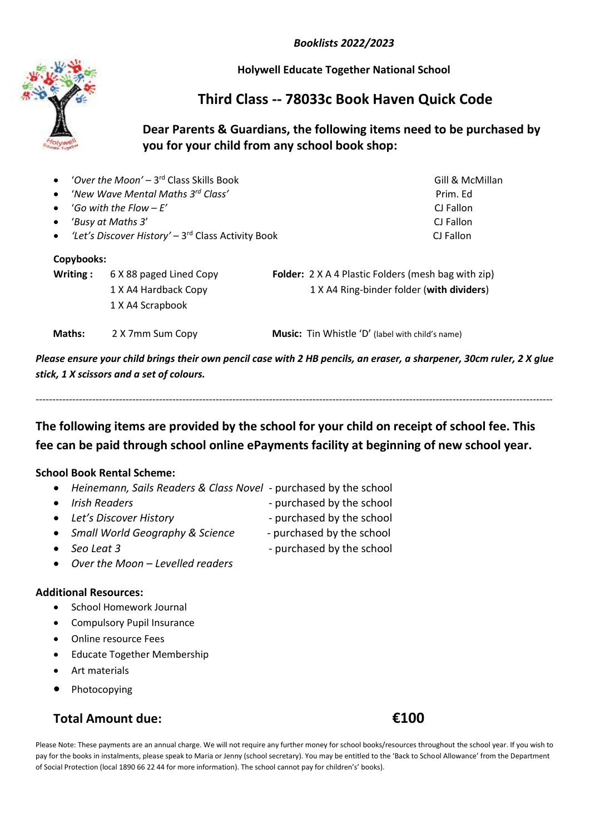*Booklists 2022/2023*

**Holywell Educate Together National School**

# **Third Class -- 78033c Book Haven Quick Code**

### **Dear Parents & Guardians, the following items need to be purchased by you for your child from any school book shop:**

|            | 'Over the Moon' - 3 <sup>rd</sup> Class Skills Book            | Gill & McMillan                                            |
|------------|----------------------------------------------------------------|------------------------------------------------------------|
| $\bullet$  | 'New Wave Mental Maths 3 <sup>rd</sup> Class'                  | Prim. Ed                                                   |
| $\bullet$  | 'Go with the Flow $-F'$                                        | CJ Fallon                                                  |
| $\bullet$  | 'Busy at Maths 3'                                              | CJ Fallon                                                  |
| $\bullet$  | 'Let's Discover History' - 3 <sup>rd</sup> Class Activity Book | CJ Fallon                                                  |
| Copybooks: |                                                                |                                                            |
| Writing:   | 6 X 88 paged Lined Copy                                        | <b>Folder:</b> 2 X A 4 Plastic Folders (mesh bag with zip) |
|            | 1 X A4 Hardback Copy                                           | 1 X A4 Ring-binder folder (with dividers)                  |
|            | 1 X A4 Scrapbook                                               |                                                            |
| Maths:     | 2 X 7mm Sum Copy                                               | Music: Tin Whistle 'D' (label with child's name)           |

*Please ensure your child brings their own pencil case with 2 HB pencils, an eraser, a sharpener, 30cm ruler, 2 X glue stick, 1 X scissors and a set of colours.*

*-----------------------------------------------------------------------------------------------------------------------------------------------------------* **The following items are provided by the school for your child on receipt of school fee. This** 

**fee can be paid through school online ePayments facility at beginning of new school year.**

#### **School Book Rental Scheme:**

- *Heinemann, Sails Readers & Class Novel -* purchased by the school
- 
- Irish Readers **and Comparish Comparish Comparish Comparish Comparish Purchased by the school**
- Let's Discover History<br>**a b c** purchased by the school
- *Small World Geography & Science*  purchased by the school
- Seo Leat 3  **Purchased by the school**
- *Over the Moon – Levelled readers*

#### **Additional Resources:**

- School Homework Journal
- Compulsory Pupil Insurance
- Online resource Fees
- Educate Together Membership
- Art materials
- Photocopying

## **Total Amount due: €100**

Please Note: These payments are an annual charge. We will not require any further money for school books/resources throughout the school year. If you wish to pay for the books in instalments, please speak to Maria or Jenny (school secretary). You may be entitled to the 'Back to School Allowance' from the Department of Social Protection (local 1890 66 22 44 for more information). The school cannot pay for children's' books).